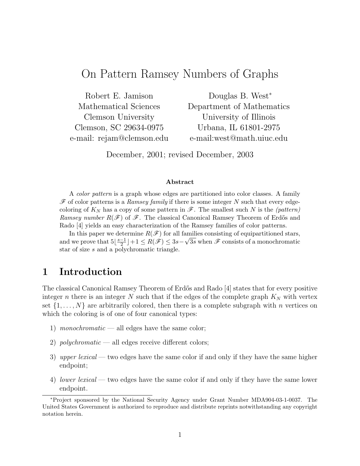# On Pattern Ramsey Numbers of Graphs

Robert E. Jamison Mathematical Sciences Clemson University Clemson, SC 29634-0975 e-mail: rejam@clemson.edu

Douglas B. West<sup>∗</sup> Department of Mathematics University of Illinois Urbana, IL 61801-2975 e-mail:west@math.uiuc.edu

December, 2001; revised December, 2003

#### Abstract

A color pattern is a graph whose edges are partitioned into color classes. A family  $\mathscr F$  of color patterns is a *Ramsey family* if there is some integer N such that every edgecoloring of  $K_N$  has a copy of some pattern in  $\mathscr{F}$ . The smallest such N is the (pattern) Ramsey number  $R(\mathscr{F})$  of  $\mathscr{F}$ . The classical Canonical Ramsey Theorem of Erdős and Rado [4] yields an easy characterization of the Ramsey families of color patterns.

In this paper we determine  $R(\mathcal{F})$  for all families consisting of equipartitioned stars, and we prove that  $5\left|\frac{s-1}{2}\right|$  $\frac{-1}{2}$   $\rfloor + 1 \leq R(\mathscr{F}) \leq 3s - \sqrt{3s}$  when  $\mathscr{F}$  consists of a monochromatic star of size s and a polychromatic triangle.

## 1 Introduction

The classical Canonical Ramsey Theorem of Erdős and Rado [4] states that for every positive integer n there is an integer N such that if the edges of the complete graph  $K_N$  with vertex set  $\{1, \ldots, N\}$  are arbitrarily colored, then there is a complete subgraph with n vertices on which the coloring is of one of four canonical types:

- 1) monochromatic all edges have the same color;
- 2) polychromatic all edges receive different colors;
- 3) upper lexical two edges have the same color if and only if they have the same higher endpoint;
- 4) lower lexical two edges have the same color if and only if they have the same lower endpoint.

<sup>∗</sup>Project sponsored by the National Security Agency under Grant Number MDA904-03-1-0037. The United States Government is authorized to reproduce and distribute reprints notwithstanding any copyright notation herein.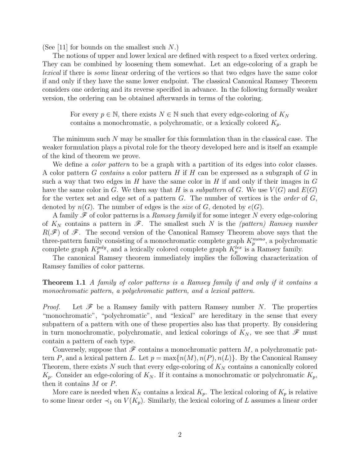(See [11] for bounds on the smallest such  $N$ .)

The notions of upper and lower lexical are defined with respect to a fixed vertex ordering. They can be combined by loosening them somewhat. Let an edge-coloring of a graph be lexical if there is some linear ordering of the vertices so that two edges have the same color if and only if they have the same lower endpoint. The classical Canonical Ramsey Theorem considers one ordering and its reverse specified in advance. In the following formally weaker version, the ordering can be obtained afterwards in terms of the coloring.

For every  $p \in \mathbb{N}$ , there exists  $N \in \mathbb{N}$  such that every edge-coloring of  $K_N$ contains a monochromatic, a polychromatic, or a lexically colored  $K_p$ .

The minimum such N may be smaller for this formulation than in the classical case. The weaker formulation plays a pivotal role for the theory developed here and is itself an example of the kind of theorem we prove.

We define a *color pattern* to be a graph with a partition of its edges into color classes. A color pattern G contains a color pattern H if H can be expressed as a subgraph of  $G$  in such a way that two edges in  $H$  have the same color in  $H$  if and only if their images in  $G$ have the same color in G. We then say that H is a subpattern of G. We use  $V(G)$  and  $E(G)$ for the vertex set and edge set of a pattern  $G$ . The number of vertices is the *order* of  $G$ , denoted by  $n(G)$ . The number of edges is the *size* of G, denoted by  $e(G)$ .

A family  $\mathscr F$  of color patterns is a *Ramsey family* if for some integer N every edge-coloring of  $K_N$  contains a pattern in  $\mathscr{F}$ . The smallest such N is the (pattern) Ramsey number  $R(\mathscr{F})$  of  $\mathscr{F}$ . The second version of the Canonical Ramsey Theorem above says that the three-pattern family consisting of a monochromatic complete graph  $K_p^{mono}$ , a polychromatic complete graph  $K_p^{poly}$ , and a lexically colored complete graph  $K_p^{lex}$  is a Ramsey family.

The canonical Ramsey theorem immediately implies the following characterization of Ramsey families of color patterns.

**Theorem 1.1** A family of color patterns is a Ramsey family if and only if it contains a monochromatic pattern, a polychromatic pattern, and a lexical pattern.

*Proof.* Let  $\mathscr F$  be a Ramsey family with pattern Ramsey number N. The properties "monochromatic", "polychromatic", and "lexical" are hereditary in the sense that every subpattern of a pattern with one of these properties also has that property. By considering in turn monochromatic, polychromatic, and lexical colorings of  $K_N$ , we see that  $\mathscr F$  must contain a pattern of each type.

Conversely, suppose that  $\mathscr F$  contains a monochromatic pattern M, a polychromatic pattern P, and a lexical pattern L. Let  $p = \max\{n(M), n(P), n(L)\}\$ . By the Canonical Ramsey Theorem, there exists N such that every edge-coloring of  $K_N$  contains a canonically colored  $K_p$ . Consider an edge-coloring of  $K_N$ . If it contains a monochromatic or polychromatic  $K_p$ , then it contains M or P.

More care is needed when  $K_N$  contains a lexical  $K_p$ . The lexical coloring of  $K_p$  is relative to some linear order  $\prec_1$  on  $V(K_p)$ . Similarly, the lexical coloring of L assumes a linear order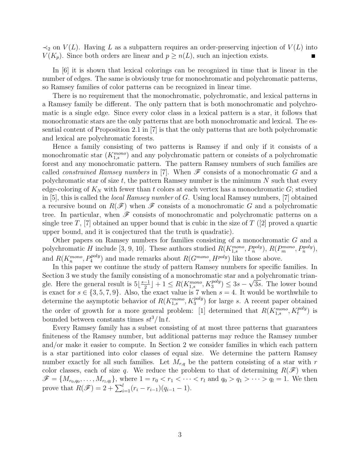$\prec_2$  on  $V(L)$ . Having L as a subpattern requires an order-preserving injection of  $V(L)$  into  $V(K_p)$ . Since both orders are linear and  $p \geq n(L)$ , such an injection exists.

In [6] it is shown that lexical colorings can be recognized in time that is linear in the number of edges. The same is obviously true for monochromatic and polychromatic patterns, so Ramsey families of color patterns can be recognized in linear time.

There is no requirement that the monochromatic, polychromatic, and lexical patterns in a Ramsey family be different. The only pattern that is both monochromatic and polychromatic is a single edge. Since every color class in a lexical pattern is a star, it follows that monochromatic stars are the only patterns that are both monochromatic and lexical. The essential content of Proposition 2.1 in [7] is that the only patterns that are both polychromatic and lexical are polychromatic forests.

Hence a family consisting of two patterns is Ramsey if and only if it consists of a monochromatic star  $(K_{1,s}^{mono})$  and any polychromatic pattern or consists of a polychromatic forest and any monochromatic pattern. The pattern Ramsey numbers of such families are called *constrained Ramsey numbers* in [7]. When  $\mathscr F$  consists of a monochromatic G and a polychromatic star of size  $t$ , the pattern Ramsey number is the minimum  $N$  such that every edge-coloring of  $K_N$  with fewer than t colors at each vertex has a monochromatic G; studied in [5], this is called the local Ramsey number of G. Using local Ramsey numbers, [7] obtained a recursive bound on  $R(\mathscr{F})$  when  $\mathscr{F}$  consists of a monochromatic G and a polychromatic tree. In particular, when  $\mathscr F$  consists of monochromatic and polychromatic patterns on a single tree T, [7] obtained an upper bound that is cubic in the size of  $T$  ([2] proved a quartic upper bound, and it is conjectured that the truth is quadratic).

Other papers on Ramsey numbers for families consisting of a monochromatic G and a polychromatic H include [3, 9, 10]. These authors studied  $R(K_{1,s}^{mono}, P_n^{poly}), R(P_m^{mono}, P_n^{poly}),$ and  $R(K_n^{mono}, P_4^{poly})$  and made remarks about  $R(G^{mono}, H^{poly})$  like those above.

In this paper we continue the study of pattern Ramsey numbers for specific families. In Section 3 we study the family consisting of a monochromatic star and a polychromatic triangle. Here the general result is  $5\left\lfloor \frac{s-1}{2} \right\rfloor$  $\lfloor \frac{-1}{2} \rfloor + 1 \leq R(K_{1,s}^{mono}, K_3^{poly}) \leq 3s - \sqrt{3s}$ . The lower bound is exact for  $s \in \{3, 5, 7, 9\}$ . Also, the exact value is 7 when  $s = 4$ . It would be worthwhile to determine the asymptotic behavior of  $R(K_{1,s}^{mono}, K_3^{poly})$  for large s. A recent paper obtained the order of growth for a more general problem: [1] determined that  $R(K_{1,s}^{mono}, K_t^{poly})$  is bounded between constants times  $st^3/\ln t$ .

Every Ramsey family has a subset consisting of at most three patterns that guarantees finiteness of the Ramsey number, but additional patterns may reduce the Ramsey number and/or make it easier to compute. In Section 2 we consider families in which each pattern is a star partitioned into color classes of equal size. We determine the pattern Ramsey number exactly for all such families. Let  $M_{r,q}$  be the pattern consisting of a star with r color classes, each of size q. We reduce the problem to that of determining  $R(\mathscr{F})$  when  $\mathscr{F} = \{M_{r_0,q_0}, \ldots, M_{r_l,q_l}\}\,$ , where  $1 = r_0 < r_1 < \cdots < r_l$  and  $q_0 > q_1 > \cdots > q_l = 1$ . We then prove that  $R(\mathscr{F}) = 2 + \sum_{i=1}^{l} (r_i - r_{i-1})(q_{i-1} - 1).$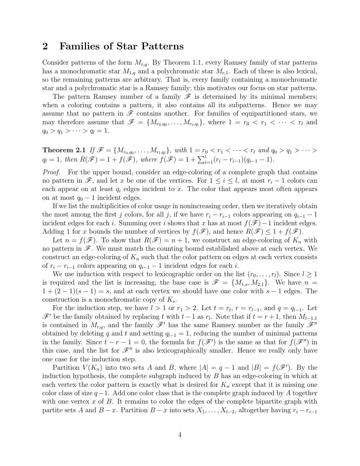### 2 Families of Star Patterns

Consider patterns of the form  $M_{r,q}$ . By Theorem 1.1, every Ramsey family of star patterns has a monochromatic star  $M_{1,q}$  and a polychromatic star  $M_{r,1}$ . Each of these is also lexical, so the remaining patterns are arbitrary. That is, every family containing a monochromatic star and a polychromatic star is a Ramsey family; this motivates our focus on star patterns.

The pattern Ramsey number of a family  $\mathscr F$  is determined by its minimal members; when a coloring contains a pattern, it also contains all its subpatterns. Hence we may assume that no pattern in  $\mathscr F$  contains another. For families of equipartitioned stars, we may therefore assume that  $\mathscr{F} = \{M_{r_0,q_0},\ldots,M_{r_l,q_l}\}\$ , where  $1 = r_0 < r_1 < \cdots < r_l$  and  $q_0 > q_1 > \cdots > q_l = 1.$ 

**Theorem 2.1** If  $\mathscr{F} = \{M_{r_0,q_0}, \ldots, M_{r_l,q_l}\}\$ , with  $1 = r_0 < r_1 < \cdots < r_l$  and  $q_0 > q_1 > \cdots >$  $q_l = 1$ , then  $R(\mathscr{F}) = 1 + f(\mathscr{F})$ , where  $f(\mathscr{F}) = 1 + \sum_{i=1}^{l} (r_i - r_{i-1})(q_{i-1} - 1)$ .

Proof. For the upper bound, consider an edge-coloring of a complete graph that contains no pattern in  $\mathscr{F}$ , and let x be one of the vertices. For  $1 \leq i \leq l$ , at most  $r_i - 1$  colors can each appear on at least  $q_i$  edges incident to x. The color that appears most often appears on at most  $q_0 - 1$  incident edges.

If we list the multiplicities of color usage in nonincreasing order, then we iteratively obtain the most among the first j colors, for all j, if we have  $r_i - r_{i-1}$  colors appearing on  $q_{i-1} - 1$ incident edges for each i. Summing over i shows that x has at most  $f(\mathscr{F})-1$  incident edges. Adding 1 for x bounds the number of vertices by  $f(\mathscr{F})$ , and hence  $R(\mathscr{F}) \leq 1 + f(\mathscr{F})$ .

Let  $n = f(\mathscr{F})$ . To show that  $R(\mathscr{F}) = n + 1$ , we construct an edge-coloring of  $K_n$  with no pattern in  $\mathscr{F}$ . We must match the counting bound established above at each vertex. We construct an edge-coloring of  $K_n$  such that the color pattern on edges at each vertex consists of  $r_i - r_{i-1}$  colors appearing on  $q_{i-1} - 1$  incident edges for each i.

We use induction with respect to lexicographic order on the list  $(r_0, \ldots, r_l)$ . Since  $l \geq 1$ is required and the list is increasing, the base case is  $\mathscr{F} = \{M_{1,s}, M_{2,1}\}.$  We have  $n =$  $1 + (2 - 1)(s - 1) = s$ , and at each vertex we should have one color with  $s - 1$  edges. The construction is a monochromatic copy of  $K_s$ .

For the induction step, we have  $l > 1$  or  $r_1 > 2$ . Let  $t = r_l$ ,  $r = r_{l-1}$ , and  $q = q_{l-1}$ . Let  $\mathscr{F}'$  be the family obtained by replacing t with t − 1 as  $r_l$ . Note that if  $t = r + 1$ , then  $M_{t-1,1}$ is contained in  $M_{r,q}$ , and the family  $\mathscr{F}'$  has the same Ramsey number as the family  $\mathscr{F}''$ obtained by deleting q and t and setting  $q_{l-1} = 1$ , reducing the number of minimal patterns in the family. Since  $t - r - 1 = 0$ , the formula for  $f(\mathscr{F}')$  is the same as that for  $f(\mathscr{F}'')$  in this case, and the list for  $\mathscr{F}''$  is also lexicographically smaller. Hence we really only have one case for the induction step.

Partition  $V(K_n)$  into two sets A and B, where  $|A| = q - 1$  and  $|B| = f(\mathscr{F}')$ . By the induction hypothesis, the complete subgraph induced by B has an edge-coloring in which at each vertex the color pattern is exactly what is desired for  $K_n$  except that it is missing one color class of size  $q-1$ . Add one color class that is the complete graph induced by A together with one vertex  $x$  of  $B$ . It remains to color the edges of the complete bipartite graph with partite sets A and  $B - x$ . Partition  $B - x$  into sets  $X_1, \ldots, X_{t-2}$ , altogether having  $r_i - r_{i-1}$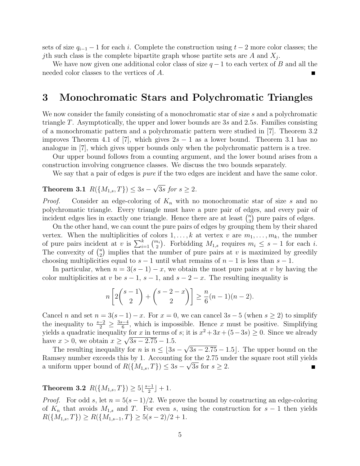sets of size  $q_{i-1} - 1$  for each i. Complete the construction using  $t - 2$  more color classes; the jth such class is the complete bipartite graph whose partite sets are  $A$  and  $X_j$ .

We have now given one additional color class of size  $q-1$  to each vertex of B and all the needed color classes to the vertices of A.

## 3 Monochromatic Stars and Polychromatic Triangles

We now consider the family consisting of a monochromatic star of size s and a polychromatic triangle T. Asymptotically, the upper and lower bounds are 3s and 2.5s. Families consisting of a monochromatic pattern and a polychromatic pattern were studied in [7]. Theorem 3.2 improves Theorem 4.1 of [7], which gives  $2s - 1$  as a lower bound. Theorem 3.1 has no analogue in [7], which gives upper bounds only when the polychromatic pattern is a tree.

Our upper bound follows from a counting argument, and the lower bound arises from a construction involving congruence classes. We discuss the two bounds separately.

We say that a pair of edges is *pure* if the two edges are incident and have the same color.

#### Theorem 3.1  $R({M_{1,s}, T}) \leq 3s$  –  $\overline{3s}$  for  $s \geq 2$ .

*Proof.* Consider an edge-coloring of  $K_n$  with no monochromatic star of size s and no polychromatic triangle. Every triangle must have a pure pair of edges, and every pair of incident edges lies in exactly one triangle. Hence there are at least  $\binom{n}{3}$  $n_3$ ) pure pairs of edges.

On the other hand, we can count the pure pairs of edges by grouping them by their shared vertex. When the multiplicities of colors  $1, \ldots, k$  at vertex v are  $m_1, \ldots, m_k$ , the number of pure pairs incident at v is  $\sum_{i=1}^{k} \binom{m_i}{2}$ . Forbidding  $M_{1,s}$  requires  $m_i \leq s-1$  for each i. The convexity of  $\binom{u}{2}$  $\binom{u}{2}$  implies that the number of pure pairs at v is maximized by greedily choosing multiplicities equal to  $s - 1$  until what remains of  $n - 1$  is less than  $s - 1$ .

In particular, when  $n = 3(s - 1) - x$ , we obtain the most pure pairs at v by having the color multiplicities at v be  $s - 1$ ,  $s - 1$ , and  $s - 2 - x$ . The resulting inequality is

$$
n\left[2\binom{s-1}{2} + \binom{s-2-x}{2}\right] \ge \frac{n}{6}(n-1)(n-2).
$$

Cancel n and set  $n = 3(s-1) - x$ . For  $x = 0$ , we can cancel  $3s - 5$  (when  $s \ge 2$ ) to simplify the inequality to  $\frac{s-2}{2} \geq \frac{3s-4}{6}$  $\frac{d-4}{6}$ , which is impossible. Hence x must be positive. Simplifying yields a quadratic inequality for x in terms of s; it is  $x^2 + 3x + (5-3s) \ge 0$ . Since we already have  $x > 0$ , we obtain  $x \ge \sqrt{3s - 2.75} - 1.5$ .

The resulting inequality for n is  $n \leq 3s - \sqrt{3s - 2.75} - 1.5$ . The upper bound on the Ramsey number exceeds this by 1. Accounting for the 2.75 under the square root still yields a uniform upper bound of  $R(\lbrace M_{1,s}, T \rbrace) \leq 3s - \sqrt{3s}$  for  $s \geq 2$ .  $\blacksquare$ 

#### **Theorem 3.2**  $R(\{M_{1,s}, T\}) \geq 5\left\lfloor \frac{s-1}{2} \right\rfloor$  $\frac{-1}{2}$  | + 1.

*Proof.* For odd s, let  $n = 5(s-1)/2$ . We prove the bound by constructing an edge-coloring of  $K_n$  that avoids  $M_{1,s}$  and T. For even s, using the construction for  $s-1$  then yields  $R({M_{1,s}, T}) \ge R({M_{1,s-1}, T} \ge 5(s-2)/2 + 1.$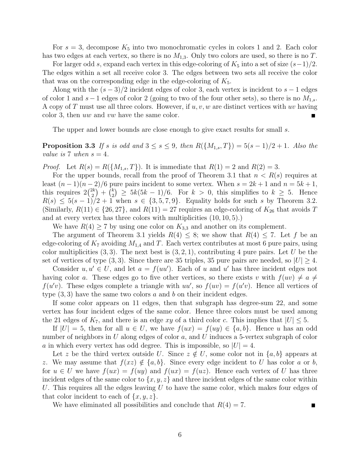For  $s = 3$ , decompose  $K_5$  into two monochromatic cycles in colors 1 and 2. Each color has two edges at each vertex, so there is no  $M_{1,3}$ . Only two colors are used, so there is no T.

For larger odd s, expand each vertex in this edge-coloring of  $K_5$  into a set of size  $(s-1)/2$ . The edges within a set all receive color 3. The edges between two sets all receive the color that was on the corresponding edge in the edge-coloring of  $K_5$ .

Along with the  $(s-3)/2$  incident edges of color 3, each vertex is incident to  $s-1$  edges of color 1 and s – 1 edges of color 2 (going to two of the four other sets), so there is no  $M_{1,s}$ . A copy of T must use all three colors. However, if  $u, v, w$  are distinct vertices with uv having color 3, then uw and vw have the same color. п

The upper and lower bounds are close enough to give exact results for small s.

**Proposition 3.3** If s is odd and  $3 \le s \le 9$ , then  $R({M_{1,s}, T}) = 5(s - 1)/2 + 1$ . Also the value is 7 when  $s = 4$ .

*Proof.* Let  $R(s) = R({M_{1,s}, T})$ . It is immediate that  $R(1) = 2$  and  $R(2) = 3$ .

For the upper bounds, recall from the proof of Theorem 3.1 that  $n < R(s)$  requires at least  $(n-1)(n-2)/6$  pure pairs incident to some vertex. When  $s = 2k + 1$  and  $n = 5k + 1$ , this requires  $2\binom{2k}{2}$  $\binom{2k}{2} + \binom{k}{2}$  $\binom{k}{2} \geq 5k(5k-1)/6$ . For  $k > 0$ , this simplifies to  $k \geq 5$ . Hence  $R(s) \leq 5(s-1)/2 + 1$  when  $s \in \{3, 5, 7, 9\}$ . Equality holds for such s by Theorem 3.2. (Similarly,  $R(11) \in \{26, 27\}$ , and  $R(11) = 27$  requires an edge-coloring of  $K_{26}$  that avoids T and at every vertex has three colors with multiplicities (10, 10, 5).)

We have  $R(4) \ge 7$  by using one color on  $K_{3,3}$  and another on its complement.

The argument of Theorem 3.1 yields  $R(4) \leq 8$ ; we show that  $R(4) \leq 7$ . Let f be an edge-coloring of  $K_7$  avoiding  $M_{1,4}$  and T. Each vertex contributes at most 6 pure pairs, using color multiplicities  $(3,3)$ . The next best is  $(3,2,1)$ , contributing 4 pure pairs. Let U be the set of vertices of type  $(3,3)$ . Since there are 35 triples, 35 pure pairs are needed, so  $|U| \geq 4$ .

Consider  $u, u' \in U$ , and let  $a = f(uu')$ . Each of u and u' has three incident edges not having color a. These edges go to five other vertices, so there exists v with  $f(uv) \neq a \neq 0$  $f(u'v)$ . These edges complete a triangle with  $uu'$ , so  $f(uv) = f(u'v)$ . Hence all vertices of type  $(3, 3)$  have the same two colors a and b on their incident edges.

If some color appears on 11 edges, then that subgraph has degree-sum 22, and some vertex has four incident edges of the same color. Hence three colors must be used among the 21 edges of  $K_7$ , and there is an edge xy of a third color c. This implies that  $|U| \leq 5$ .

If  $|U| = 5$ , then for all  $u \in U$ , we have  $f(ux) = f(uy) \in \{a, b\}$ . Hence u has an odd number of neighbors in U along edges of color  $a$ , and U induces a 5-vertex subgraph of color a in which every vertex has odd degree. This is impossible, so  $|U| = 4$ .

Let z be the third vertex outside U. Since  $z \notin U$ , some color not in  $\{a, b\}$  appears at z. We may assume that  $f(xz) \notin \{a, b\}$ . Since every edge incident to U has color a or b, for  $u \in U$  we have  $f(ux) = f(uy)$  and  $f(ux) = f(uz)$ . Hence each vertex of U has three incident edges of the same color to  $\{x, y, z\}$  and three incident edges of the same color within U. This requires all the edges leaving  $U$  to have the same color, which makes four edges of that color incident to each of  $\{x, y, z\}$ .

We have eliminated all possibilities and conclude that  $R(4) = 7$ .